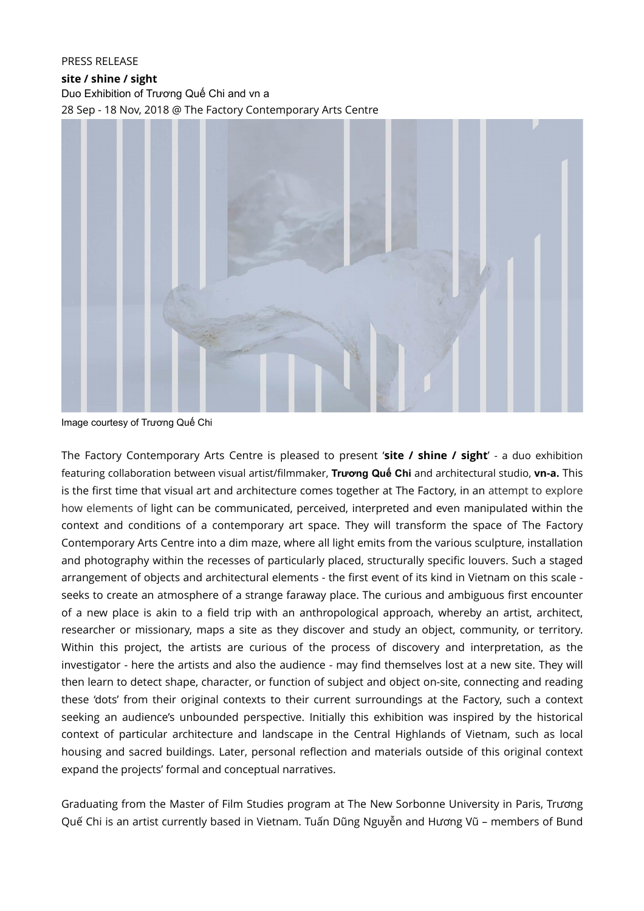## PRESS RELEASE

**site / shine / sight** Duo Exhibition of Trương Quế Chi and vn a 28 Sep - 18 Nov, 2018 @ The Factory Contemporary Arts Centre



Image courtesy of Trương Quế Chi

The Factory Contemporary Arts Centre is pleased to present '**site / shine / sight**' - a duo exhibition featuring collaboration between visual artist/filmmaker, **Trương Quế Chi** and architectural studio, **vn-a.** This is the first time that visual art and architecture comes together at The Factory, in an attempt to explore how elements of light can be communicated, perceived, interpreted and even manipulated within the context and conditions of a contemporary art space. They will transform the space of The Factory Contemporary Arts Centre into a dim maze, where all light emits from the various sculpture, installation and photography within the recesses of particularly placed, structurally specific louvers. Such a staged arrangement of objects and architectural elements - the first event of its kind in Vietnam on this scale seeks to create an atmosphere of a strange faraway place. The curious and ambiguous first encounter of a new place is akin to a field trip with an anthropological approach, whereby an artist, architect, researcher or missionary, maps a site as they discover and study an object, community, or territory. Within this project, the artists are curious of the process of discovery and interpretation, as the investigator - here the artists and also the audience - may find themselves lost at a new site. They will then learn to detect shape, character, or function of subject and object on-site, connecting and reading these 'dots' from their original contexts to their current surroundings at the Factory, such a context seeking an audience's unbounded perspective. Initially this exhibition was inspired by the historical context of particular architecture and landscape in the Central Highlands of Vietnam, such as local housing and sacred buildings. Later, personal reflection and materials outside of this original context expand the projects' formal and conceptual narratives.

Graduating from the Master of Film Studies program at The New Sorbonne University in Paris, Trương Quế Chi is an artist currently based in Vietnam. Tuấn Dũng Nguyễn and Hương Vũ – members of Bund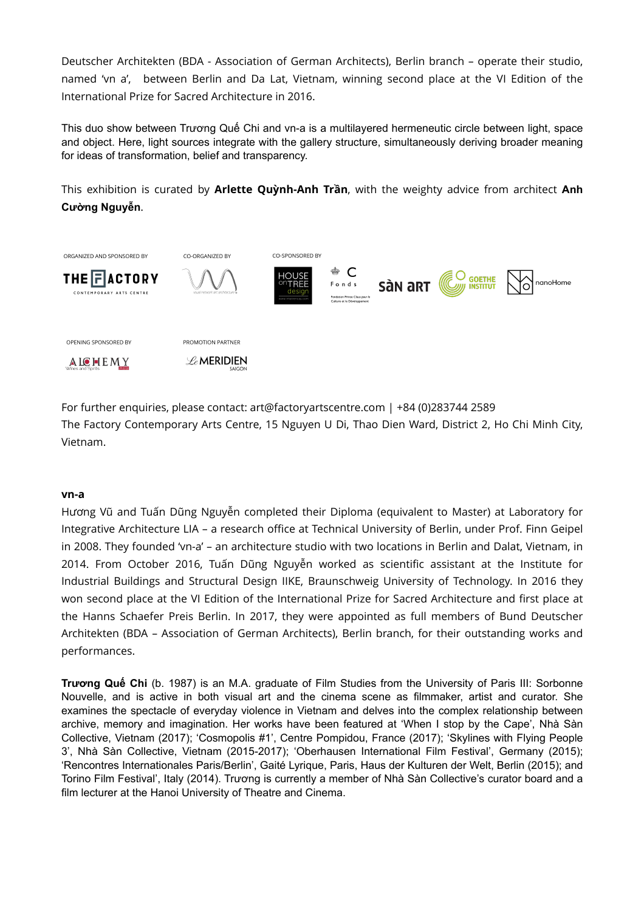Deutscher Architekten (BDA - Association of German Architects), Berlin branch – operate their studio, named 'vn a', between Berlin and Da Lat, Vietnam, winning second place at the VI Edition of the International Prize for Sacred Architecture in 2016.

This duo show between Trương Quế Chi and vn-a is a multilayered hermeneutic circle between light, space and object. Here, light sources integrate with the gallery structure, simultaneously deriving broader meaning for ideas of transformation, belief and transparency.

This exhibition is curated by **Arlette Quỳnh-Anh Trần**, with the weighty advice from architect **Anh Cường Nguyễn**.



For further enquiries, please contact: art@factoryartscentre.com | +84 (0)283744 2589 The Factory Contemporary Arts Centre, 15 Nguyen U Di, Thao Dien Ward, District 2, Ho Chi Minh City, Vietnam.

## **vn-a**

Hương Vũ and Tuấn Dũng Nguyễn completed their Diploma (equivalent to Master) at Laboratory for Integrative Architecture LIA – a research office at Technical University of Berlin, under Prof. Finn Geipel in 2008. They founded 'vn-a' – an architecture studio with two locations in Berlin and Dalat, Vietnam, in 2014. From October 2016, Tuấn Dũng Nguyễn worked as scientific assistant at the Institute for Industrial Buildings and Structural Design IIKE, Braunschweig University of Technology. In 2016 they won second place at the VI Edition of the International Prize for Sacred Architecture and first place at the Hanns Schaefer Preis Berlin. In 2017, they were appointed as full members of Bund Deutscher Architekten (BDA – Association of German Architects), Berlin branch, for their outstanding works and performances.

**Trương Quế Chi** (b. 1987) is an M.A. graduate of Film Studies from the University of Paris III: Sorbonne Nouvelle, and is active in both visual art and the cinema scene as filmmaker, artist and curator. She examines the spectacle of everyday violence in Vietnam and delves into the complex relationship between archive, memory and imagination. Her works have been featured at 'When I stop by the Cape', Nhà Sàn Collective, Vietnam (2017); 'Cosmopolis #1', Centre Pompidou, France (2017); 'Skylines with Flying People 3', Nhà Sàn Collective, Vietnam (2015-2017); 'Oberhausen International Film Festival', Germany (2015); 'Rencontres Internationales Paris/Berlin', Gaité Lyrique, Paris, Haus der Kulturen der Welt, Berlin (2015); and Torino Film Festival', Italy (2014). Trương is currently a member of Nhà Sàn Collective's curator board and a film lecturer at the Hanoi University of Theatre and Cinema.